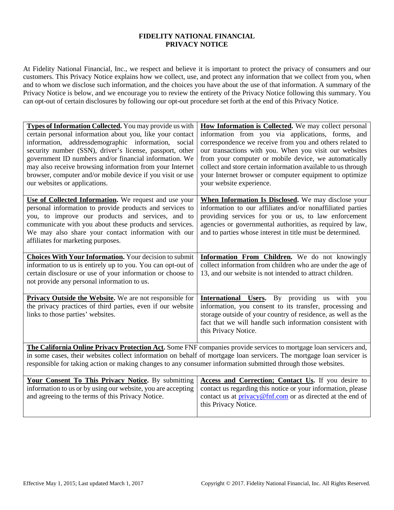#### **FIDELITY NATIONAL FINANCIAL PRIVACY NOTICE**

At Fidelity National Financial, Inc., we respect and believe it is important to protect the privacy of consumers and our customers. This Privacy Notice explains how we collect, use, and protect any information that we collect from you, when and to whom we disclose such information, and the choices you have about the use of that information. A summary of the Privacy Notice is below, and we encourage you to review the entirety of the Privacy Notice following this summary. You can opt-out of certain disclosures by following our opt-out procedure set forth at the end of this Privacy Notice.

| Types of Information Collected. You may provide us with<br>certain personal information about you, like your contact<br>information, addressdemographic information, social<br>security number (SSN), driver's license, passport, other<br>government ID numbers and/or financial information. We<br>may also receive browsing information from your Internet<br>browser, computer and/or mobile device if you visit or use | How Information is Collected. We may collect personal<br>information from you via applications, forms, and<br>correspondence we receive from you and others related to<br>our transactions with you. When you visit our websites<br>from your computer or mobile device, we automatically<br>collect and store certain information available to us through<br>your Internet browser or computer equipment to optimize |
|-----------------------------------------------------------------------------------------------------------------------------------------------------------------------------------------------------------------------------------------------------------------------------------------------------------------------------------------------------------------------------------------------------------------------------|-----------------------------------------------------------------------------------------------------------------------------------------------------------------------------------------------------------------------------------------------------------------------------------------------------------------------------------------------------------------------------------------------------------------------|
| our websites or applications.                                                                                                                                                                                                                                                                                                                                                                                               | your website experience.                                                                                                                                                                                                                                                                                                                                                                                              |
| Use of Collected Information. We request and use your<br>personal information to provide products and services to<br>you, to improve our products and services, and to<br>communicate with you about these products and services.<br>We may also share your contact information with our<br>affiliates for marketing purposes.                                                                                              | When Information Is Disclosed. We may disclose your<br>information to our affiliates and/or nonaffiliated parties<br>providing services for you or us, to law enforcement<br>agencies or governmental authorities, as required by law,<br>and to parties whose interest in title must be determined.                                                                                                                  |
| <b>Choices With Your Information.</b> Your decision to submit<br>information to us is entirely up to you. You can opt-out of<br>certain disclosure or use of your information or choose to<br>not provide any personal information to us.                                                                                                                                                                                   | <b>Information From Children.</b> We do not knowingly<br>collect information from children who are under the age of<br>13, and our website is not intended to attract children.                                                                                                                                                                                                                                       |
| Privacy Outside the Website. We are not responsible for<br>the privacy practices of third parties, even if our website<br>links to those parties' websites.                                                                                                                                                                                                                                                                 | <b>International Users.</b> By providing us with you<br>information, you consent to its transfer, processing and<br>storage outside of your country of residence, as well as the<br>fact that we will handle such information consistent with<br>this Privacy Notice.                                                                                                                                                 |
| The California Online Privacy Protection Act. Some FNF companies provide services to mortgage loan servicers and,<br>in some cases, their websites collect information on behalf of mortgage loan servicers. The mortgage loan servicer is<br>responsible for taking action or making changes to any consumer information submitted through those websites.                                                                 |                                                                                                                                                                                                                                                                                                                                                                                                                       |
| Your Consent To This Privacy Notice. By submitting<br>information to us or by using our website, you are accepting                                                                                                                                                                                                                                                                                                          | Access and Correction; Contact Us. If you desire to<br>contact us regarding this notice or your information, please                                                                                                                                                                                                                                                                                                   |

and agreeing to the terms of this Privacy Notice.

contact us at **privacy@fnf.com** or as directed at the end of

this Privacy Notice.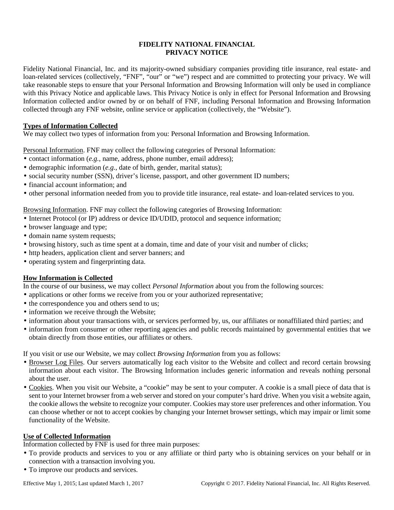## **FIDELITY NATIONAL FINANCIAL PRIVACY NOTICE**

Fidelity National Financial, Inc. and its majority-owned subsidiary companies providing title insurance, real estate- and loan-related services (collectively, "FNF", "our" or "we") respect and are committed to protecting your privacy. We will take reasonable steps to ensure that your Personal Information and Browsing Information will only be used in compliance with this Privacy Notice and applicable laws. This Privacy Notice is only in effect for Personal Information and Browsing Information collected and/or owned by or on behalf of FNF, including Personal Information and Browsing Information collected through any FNF website, online service or application (collectively, the "Website").

## **Types of Information Collected**

We may collect two types of information from you: Personal Information and Browsing Information.

Personal Information. FNF may collect the following categories of Personal Information:

- contact information (*e.g.*, name, address, phone number, email address);
- demographic information (*e.g.*, date of birth, gender, marital status);
- social security number (SSN), driver's license, passport, and other government ID numbers;
- financial account information; and
- other personal information needed from you to provide title insurance, real estate- and loan-related services to you.

## Browsing Information. FNF may collect the following categories of Browsing Information:

- Internet Protocol (or IP) address or device ID/UDID, protocol and sequence information;
- browser language and type;
- domain name system requests;
- browsing history, such as time spent at a domain, time and date of your visit and number of clicks;
- http headers, application client and server banners; and
- operating system and fingerprinting data.

# **How Information is Collected**

In the course of our business, we may collect *Personal Information* about you from the following sources:

- applications or other forms we receive from you or your authorized representative;
- the correspondence you and others send to us;
- information we receive through the Website;
- information about your transactions with, or services performed by, us, our affiliates or nonaffiliated third parties; and
- information from consumer or other reporting agencies and public records maintained by governmental entities that we obtain directly from those entities, our affiliates or others.

If you visit or use our Website, we may collect *Browsing Information* from you as follows:

- Browser Log Files. Our servers automatically log each visitor to the Website and collect and record certain browsing information about each visitor. The Browsing Information includes generic information and reveals nothing personal about the user.
- Cookies. When you visit our Website, a "cookie" may be sent to your computer. A cookie is a small piece of data that is sent to your Internet browser from a web server and stored on your computer's hard drive. When you visit a website again, the cookie allows the website to recognize your computer. Cookies may store user preferences and other information. You can choose whether or not to accept cookies by changing your Internet browser settings, which may impair or limit some functionality of the Website.

# **Use of Collected Information**

Information collected by FNF is used for three main purposes:

- To provide products and services to you or any affiliate or third party who is obtaining services on your behalf or in connection with a transaction involving you.
- To improve our products and services.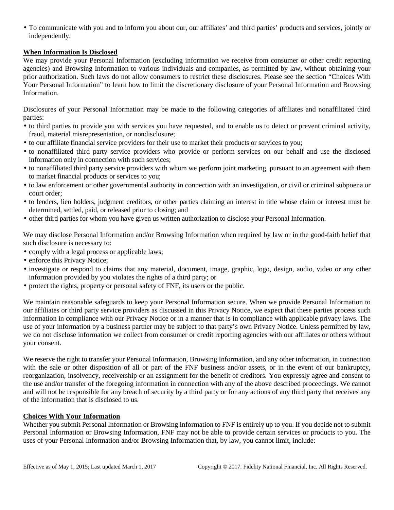• To communicate with you and to inform you about our, our affiliates' and third parties' products and services, jointly or independently.

## **When Information Is Disclosed**

We may provide your Personal Information (excluding information we receive from consumer or other credit reporting agencies) and Browsing Information to various individuals and companies, as permitted by law, without obtaining your prior authorization. Such laws do not allow consumers to restrict these disclosures. Please see the section "Choices With Your Personal Information" to learn how to limit the discretionary disclosure of your Personal Information and Browsing Information.

Disclosures of your Personal Information may be made to the following categories of affiliates and nonaffiliated third parties:

- to third parties to provide you with services you have requested, and to enable us to detect or prevent criminal activity, fraud, material misrepresentation, or nondisclosure;
- to our affiliate financial service providers for their use to market their products or services to you;
- to nonaffiliated third party service providers who provide or perform services on our behalf and use the disclosed information only in connection with such services;
- to nonaffiliated third party service providers with whom we perform joint marketing, pursuant to an agreement with them to market financial products or services to you;
- to law enforcement or other governmental authority in connection with an investigation, or civil or criminal subpoena or court order;
- to lenders, lien holders, judgment creditors, or other parties claiming an interest in title whose claim or interest must be determined, settled, paid, or released prior to closing; and
- other third parties for whom you have given us written authorization to disclose your Personal Information.

We may disclose Personal Information and/or Browsing Information when required by law or in the good-faith belief that such disclosure is necessary to:

- comply with a legal process or applicable laws;
- enforce this Privacy Notice;
- investigate or respond to claims that any material, document, image, graphic, logo, design, audio, video or any other information provided by you violates the rights of a third party; or
- protect the rights, property or personal safety of FNF, its users or the public.

We maintain reasonable safeguards to keep your Personal Information secure. When we provide Personal Information to our affiliates or third party service providers as discussed in this Privacy Notice, we expect that these parties process such information in compliance with our Privacy Notice or in a manner that is in compliance with applicable privacy laws. The use of your information by a business partner may be subject to that party's own Privacy Notice. Unless permitted by law, we do not disclose information we collect from consumer or credit reporting agencies with our affiliates or others without your consent.

We reserve the right to transfer your Personal Information, Browsing Information, and any other information, in connection with the sale or other disposition of all or part of the FNF business and/or assets, or in the event of our bankruptcy, reorganization, insolvency, receivership or an assignment for the benefit of creditors. You expressly agree and consent to the use and/or transfer of the foregoing information in connection with any of the above described proceedings. We cannot and will not be responsible for any breach of security by a third party or for any actions of any third party that receives any of the information that is disclosed to us.

### **Choices With Your Information**

Whether you submit Personal Information or Browsing Information to FNF is entirely up to you. If you decide not to submit Personal Information or Browsing Information, FNF may not be able to provide certain services or products to you. The uses of your Personal Information and/or Browsing Information that, by law, you cannot limit, include: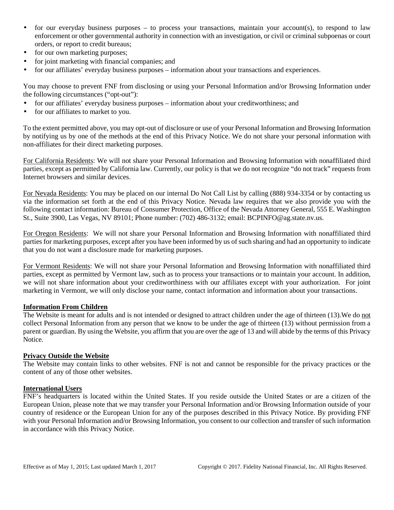- for our everyday business purposes to process your transactions, maintain your account(s), to respond to law enforcement or other governmental authority in connection with an investigation, or civil or criminal subpoenas or court orders, or report to credit bureaus;
- for our own marketing purposes;
- for joint marketing with financial companies; and
- for our affiliates' everyday business purposes information about your transactions and experiences.

You may choose to prevent FNF from disclosing or using your Personal Information and/or Browsing Information under the following circumstances ("opt-out"):

- for our affiliates' everyday business purposes information about your creditworthiness; and
- for our affiliates to market to you.

To the extent permitted above, you may opt-out of disclosure or use of your Personal Information and Browsing Information by notifying us by one of the methods at the end of this Privacy Notice. We do not share your personal information with non-affiliates for their direct marketing purposes.

For California Residents: We will not share your Personal Information and Browsing Information with nonaffiliated third parties, except as permitted by California law. Currently, our policy is that we do not recognize "do not track" requests from Internet browsers and similar devices.

For Nevada Residents: You may be placed on our internal Do Not Call List by calling (888) 934-3354 or by contacting us via the information set forth at the end of this Privacy Notice. Nevada law requires that we also provide you with the following contact information: Bureau of Consumer Protection, Office of the Nevada Attorney General, 555 E. Washington St., Suite 3900, Las Vegas, NV 89101; Phone number: (702) 486-3132; email: BCPINFO@ag.state.nv.us.

For Oregon Residents: We will not share your Personal Information and Browsing Information with nonaffiliated third parties for marketing purposes, except after you have been informed by us of such sharing and had an opportunity to indicate that you do not want a disclosure made for marketing purposes.

For Vermont Residents: We will not share your Personal Information and Browsing Information with nonaffiliated third parties, except as permitted by Vermont law, such as to process your transactions or to maintain your account. In addition, we will not share information about your creditworthiness with our affiliates except with your authorization. For joint marketing in Vermont, we will only disclose your name, contact information and information about your transactions.

### **Information From Children**

The Website is meant for adults and is not intended or designed to attract children under the age of thirteen (13). We do not collect Personal Information from any person that we know to be under the age of thirteen (13) without permission from a parent or guardian. By using the Website, you affirm that you are over the age of 13 and will abide by the terms of this Privacy Notice.

### **Privacy Outside the Website**

The Website may contain links to other websites. FNF is not and cannot be responsible for the privacy practices or the content of any of those other websites.

#### **International Users**

FNF's headquarters is located within the United States. If you reside outside the United States or are a citizen of the European Union, please note that we may transfer your Personal Information and/or Browsing Information outside of your country of residence or the European Union for any of the purposes described in this Privacy Notice. By providing FNF with your Personal Information and/or Browsing Information, you consent to our collection and transfer of such information in accordance with this Privacy Notice.